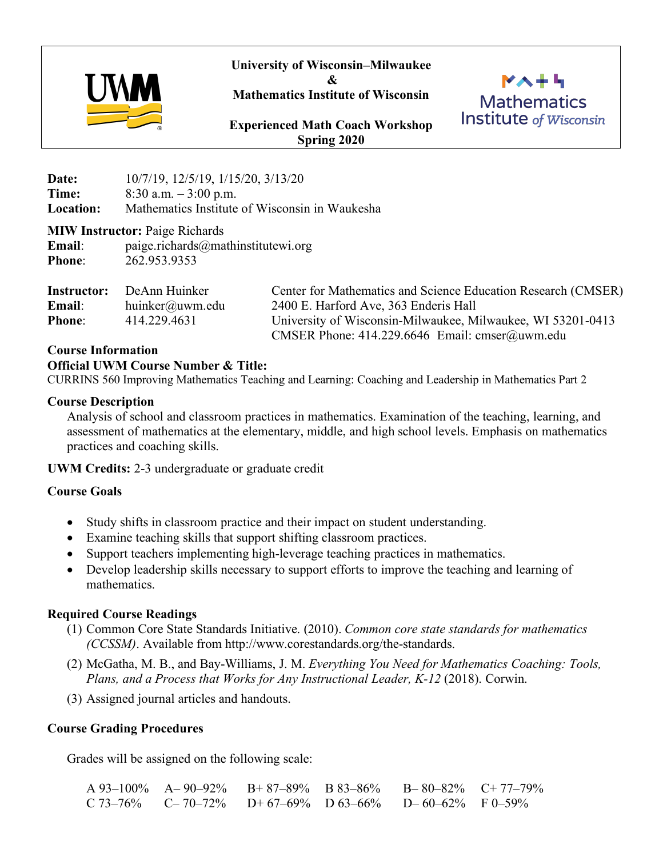

**University of Wisconsin–Milwaukee**

**&** 

**Mathematics Institute of Wisconsin** 



**Experienced Math Coach Workshop Spring 2020**

**Date:** 10/7/19, 12/5/19, 1/15/20, 3/13/20 **Time:** 8:30 a.m. – 3:00 p.m. **Location:** Mathematics Institute of Wisconsin in Waukesha

#### **MIW Instructor:** Paige Richards

**Email**: paige.richards@mathinstitutewi.org **Phone**: 262.953.9353

| <b>Instructor:</b> | DeAnn Huinker   | Center for Mathematics and Science Education Research (CMSER) |
|--------------------|-----------------|---------------------------------------------------------------|
| Email:             | huinker@uwm.edu | 2400 E. Harford Ave, 363 Enderis Hall                         |
| <b>Phone:</b>      | 414.229.4631    | University of Wisconsin-Milwaukee, Milwaukee, WI 53201-0413   |
|                    |                 | CMSER Phone: $414.229.6646$ Email: cmser@uwm.edu              |

### **Course Information**

### **Official UWM Course Number & Title:**

CURRINS 560 Improving Mathematics Teaching and Learning: Coaching and Leadership in Mathematics Part 2

### **Course Description**

Analysis of school and classroom practices in mathematics. Examination of the teaching, learning, and assessment of mathematics at the elementary, middle, and high school levels. Emphasis on mathematics practices and coaching skills.

**UWM Credits:** 2-3 undergraduate or graduate credit

# **Course Goals**

- Study shifts in classroom practice and their impact on student understanding.
- Examine teaching skills that support shifting classroom practices.
- Support teachers implementing high-leverage teaching practices in mathematics.
- Develop leadership skills necessary to support efforts to improve the teaching and learning of mathematics.

# **Required Course Readings**

- (1) Common Core State Standards Initiative. (2010). *Common core state standards for mathematics (CCSSM)*. Available from http://www.corestandards.org/the-standards.
- (2) McGatha, M. B., and Bay-Williams, J. M. *Everything You Need for Mathematics Coaching: Tools, Plans, and a Process that Works for Any Instructional Leader, K-12* (2018). Corwin.
- (3) Assigned journal articles and handouts.

# **Course Grading Procedures**

Grades will be assigned on the following scale:

| $A\,93-100\%$ $A-90-92\%$ $B+87-89\%$ $B\,83-86\%$ $B-80-82\%$ C+77-79 |  |  |
|------------------------------------------------------------------------|--|--|
| $C$ 73–76% $C$ –70–72% $D+67$ –69% $D$ 63–66% $D-60$ –62% F 0–59%      |  |  |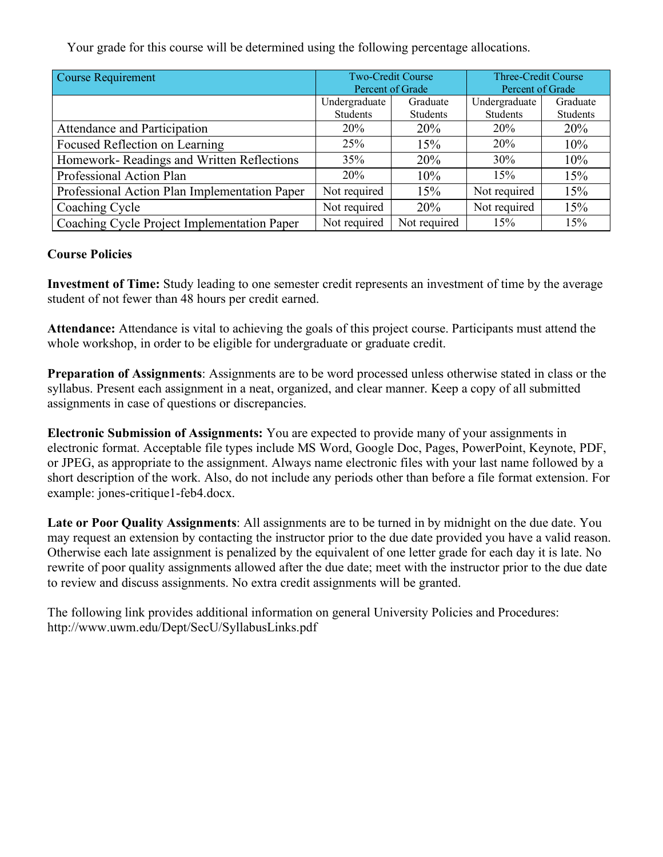Your grade for this course will be determined using the following percentage allocations.

| <b>Course Requirement</b>                     | <b>Two-Credit Course</b> |              | <b>Three-Credit Course</b><br>Percent of Grade |          |
|-----------------------------------------------|--------------------------|--------------|------------------------------------------------|----------|
|                                               | Percent of Grade         |              |                                                |          |
|                                               | Undergraduate            | Graduate     | Undergraduate                                  | Graduate |
|                                               | <b>Students</b>          | Students     | Students                                       | Students |
| Attendance and Participation                  | 20%                      | 20%          | 20%                                            | 20%      |
| Focused Reflection on Learning                | 25%                      | 15%          | 20%                                            | 10%      |
| Homework-Readings and Written Reflections     | 35%                      | 20%          | 30%                                            | 10%      |
| Professional Action Plan                      | 20%                      | 10%          | 15%                                            | 15%      |
| Professional Action Plan Implementation Paper | Not required             | 15%          | Not required                                   | 15%      |
| Coaching Cycle                                | Not required             | 20%          | Not required                                   | 15%      |
| Coaching Cycle Project Implementation Paper   | Not required             | Not required | 15%                                            | 15%      |

# **Course Policies**

**Investment of Time:** Study leading to one semester credit represents an investment of time by the average student of not fewer than 48 hours per credit earned.

**Attendance:** Attendance is vital to achieving the goals of this project course. Participants must attend the whole workshop, in order to be eligible for undergraduate or graduate credit.

**Preparation of Assignments**: Assignments are to be word processed unless otherwise stated in class or the syllabus. Present each assignment in a neat, organized, and clear manner. Keep a copy of all submitted assignments in case of questions or discrepancies.

**Electronic Submission of Assignments:** You are expected to provide many of your assignments in electronic format. Acceptable file types include MS Word, Google Doc, Pages, PowerPoint, Keynote, PDF, or JPEG, as appropriate to the assignment. Always name electronic files with your last name followed by a short description of the work. Also, do not include any periods other than before a file format extension. For example: jones-critique1-feb4.docx.

**Late or Poor Quality Assignments**: All assignments are to be turned in by midnight on the due date. You may request an extension by contacting the instructor prior to the due date provided you have a valid reason. Otherwise each late assignment is penalized by the equivalent of one letter grade for each day it is late. No rewrite of poor quality assignments allowed after the due date; meet with the instructor prior to the due date to review and discuss assignments. No extra credit assignments will be granted.

The following link provides additional information on general University Policies and Procedures: http://www.uwm.edu/Dept/SecU/SyllabusLinks.pdf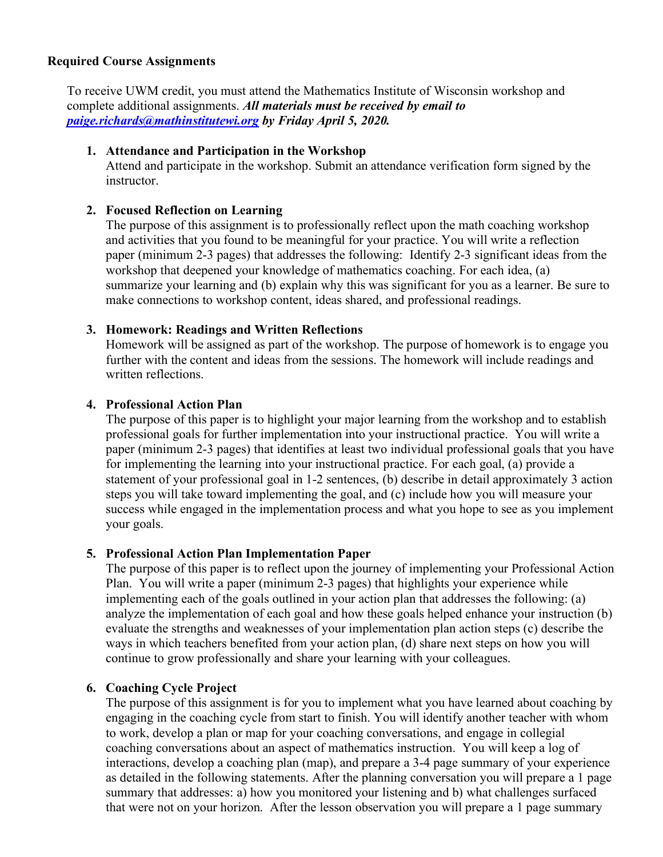### **Required Course Assignments**

To receive UWM credit, you must attend the Mathematics Institute of Wisconsin workshop and complete additional assignments. *All materials must be received by email to paige.richards@mathinstitutewi.org by Friday April 5, 2020.*

### **1. Attendance and Participation in the Workshop**

Attend and participate in the workshop. Submit an attendance verification form signed by the instructor.

# **2. Focused Reflection on Learning**

The purpose of this assignment is to professionally reflect upon the math coaching workshop and activities that you found to be meaningful for your practice. You will write a reflection paper (minimum 2-3 pages) that addresses the following: Identify 2-3 significant ideas from the workshop that deepened your knowledge of mathematics coaching. For each idea, (a) summarize your learning and (b) explain why this was significant for you as a learner. Be sure to make connections to workshop content, ideas shared, and professional readings.

# **3. Homework: Readings and Written Reflections**

Homework will be assigned as part of the workshop. The purpose of homework is to engage you further with the content and ideas from the sessions. The homework will include readings and written reflections.

### **4. Professional Action Plan**

The purpose of this paper is to highlight your major learning from the workshop and to establish professional goals for further implementation into your instructional practice. You will write a paper (minimum 2-3 pages) that identifies at least two individual professional goals that you have for implementing the learning into your instructional practice. For each goal, (a) provide a statement of your professional goal in 1-2 sentences, (b) describe in detail approximately 3 action steps you will take toward implementing the goal, and (c) include how you will measure your success while engaged in the implementation process and what you hope to see as you implement your goals.

# **5. Professional Action Plan Implementation Paper**

The purpose of this paper is to reflect upon the journey of implementing your Professional Action Plan. You will write a paper (minimum 2-3 pages) that highlights your experience while implementing each of the goals outlined in your action plan that addresses the following: (a) analyze the implementation of each goal and how these goals helped enhance your instruction (b) evaluate the strengths and weaknesses of your implementation plan action steps (c) describe the ways in which teachers benefited from your action plan, (d) share next steps on how you will continue to grow professionally and share your learning with your colleagues.

# **6. Coaching Cycle Project**

The purpose of this assignment is for you to implement what you have learned about coaching by engaging in the coaching cycle from start to finish. You will identify another teacher with whom to work, develop a plan or map for your coaching conversations, and engage in collegial coaching conversations about an aspect of mathematics instruction. You will keep a log of interactions, develop a coaching plan (map), and prepare a 3-4 page summary of your experience as detailed in the following statements. After the planning conversation you will prepare a 1 page summary that addresses: a) how you monitored your listening and b) what challenges surfaced that were not on your horizon. After the lesson observation you will prepare a 1 page summary